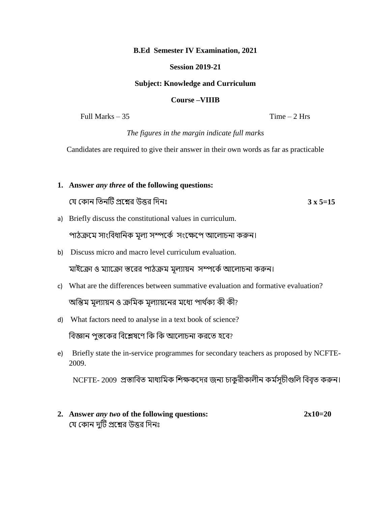#### **B.Ed Semester IV Examination, 2021**

## **Session 2019-21**

## **Subject: Knowledge and Curriculum**

#### **Course –VIIIB**

Full Marks  $-35$  Time  $-2$  Hrs

*The figures in the margin indicate full marks*

Candidates are required to give their answer in their own words as far as practicable

# **1. Answer** *any three* **of the following questions:**  যে য োন তিনটি প্রশ্নের উত্তর তিনঃ **3 x 5=15** a) Briefly discuss the constitutional values in curriculum. পাঠক্রমে সাংবিধানিক মল্য সম্পর্কে সংক্ষেপে আলোচনা করুন। b) Discuss micro and macro level curriculum evaluation. মাইক্রো ও ম্যাক্রো স্তরের পাঠক্রম মূল্যায়ন সম্পর্কে আলোচনা করুন।

- c) What are the differences between summative evaluation and formative evaluation? অন্তিম মূল্যায়ন ও ক্রমিক মূল্যায়নের মধ্যে পার্থক্য কী কী?
- d) What factors need to analyse in a text book of science?

বিজ্ঞান পুস্তকের বিশ্লেষণে কি কি আলোচনা করতে হবে?

e) Briefly state the in-service programmes for secondary teachers as proposed by NCFTE-2009.

NCFTE- 2009 প্রস্তাবিত মাধ্যমিক শিক্ষকদের জন্য চাকুরীকালীন কর্মসচীগুলি বিবৃত করুন।

**2. Answer** *any two* **of the following questions: 2x10=20**  যে কোন দুটি প্রশ্নের উত্তর দিনঃ